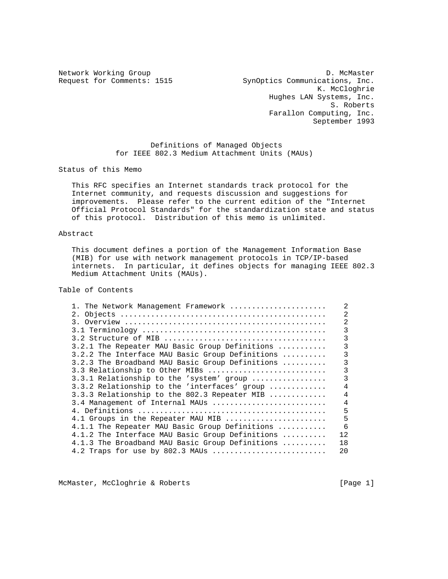Network Working Group D. McMaster Request for Comments: 1515 SynOptics Communications, Inc. K. McCloghrie Hughes LAN Systems, Inc. S. Roberts Farallon Computing, Inc. September 1993

> Definitions of Managed Objects for IEEE 802.3 Medium Attachment Units (MAUs)

Status of this Memo

 This RFC specifies an Internet standards track protocol for the Internet community, and requests discussion and suggestions for improvements. Please refer to the current edition of the "Internet Official Protocol Standards" for the standardization state and status of this protocol. Distribution of this memo is unlimited.

### Abstract

 This document defines a portion of the Management Information Base (MIB) for use with network management protocols in TCP/IP-based internets. In particular, it defines objects for managing IEEE 802.3 Medium Attachment Units (MAUs).

Table of Contents

| 1. The Network Management Framework             | 2              |
|-------------------------------------------------|----------------|
|                                                 | 2              |
|                                                 | 2              |
|                                                 | ς              |
|                                                 | ζ              |
| 3.2.1 The Repeater MAU Basic Group Definitions  | ς              |
| 3.2.2 The Interface MAU Basic Group Definitions | 3              |
| 3.2.3 The Broadband MAU Basic Group Definitions | ς              |
| 3.3 Relationship to Other MIBs                  | ς              |
| 3.3.1 Relationship to the 'system' group        | ς              |
| 3.3.2 Relationship to the 'interfaces' group    | 4              |
| 3.3.3 Relationship to the 802.3 Repeater MIB    | $\overline{4}$ |
| 3.4 Management of Internal MAUs                 | $\overline{4}$ |
|                                                 | 5              |
| 4.1 Groups in the Repeater MAU MIB              | 5              |
| 4.1.1 The Repeater MAU Basic Group Definitions  | 6              |
| 4.1.2 The Interface MAU Basic Group Definitions | 12             |
| 4.1.3 The Broadband MAU Basic Group Definitions | 18             |
| 4.2 Traps for use by 802.3 MAUs                 | 20             |
|                                                 |                |

McMaster, McCloghrie & Roberts [Page 1]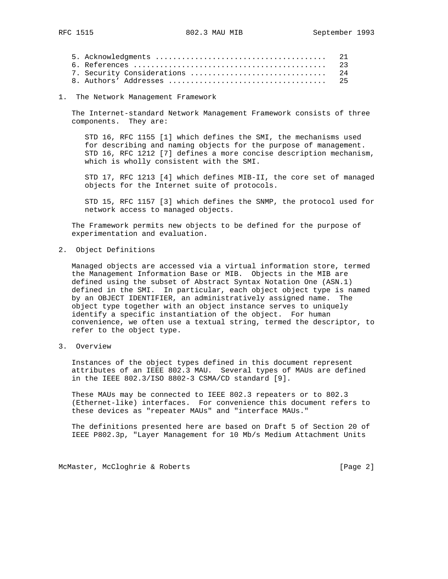1. The Network Management Framework

 The Internet-standard Network Management Framework consists of three components. They are:

 STD 16, RFC 1155 [1] which defines the SMI, the mechanisms used for describing and naming objects for the purpose of management. STD 16, RFC 1212 [7] defines a more concise description mechanism, which is wholly consistent with the SMI.

 STD 17, RFC 1213 [4] which defines MIB-II, the core set of managed objects for the Internet suite of protocols.

 STD 15, RFC 1157 [3] which defines the SNMP, the protocol used for network access to managed objects.

 The Framework permits new objects to be defined for the purpose of experimentation and evaluation.

2. Object Definitions

 Managed objects are accessed via a virtual information store, termed the Management Information Base or MIB. Objects in the MIB are defined using the subset of Abstract Syntax Notation One (ASN.1) defined in the SMI. In particular, each object object type is named by an OBJECT IDENTIFIER, an administratively assigned name. The object type together with an object instance serves to uniquely identify a specific instantiation of the object. For human convenience, we often use a textual string, termed the descriptor, to refer to the object type.

3. Overview

 Instances of the object types defined in this document represent attributes of an IEEE 802.3 MAU. Several types of MAUs are defined in the IEEE 802.3/ISO 8802-3 CSMA/CD standard [9].

 These MAUs may be connected to IEEE 802.3 repeaters or to 802.3 (Ethernet-like) interfaces. For convenience this document refers to these devices as "repeater MAUs" and "interface MAUs."

 The definitions presented here are based on Draft 5 of Section 20 of IEEE P802.3p, "Layer Management for 10 Mb/s Medium Attachment Units

McMaster, McCloghrie & Roberts [Page 2]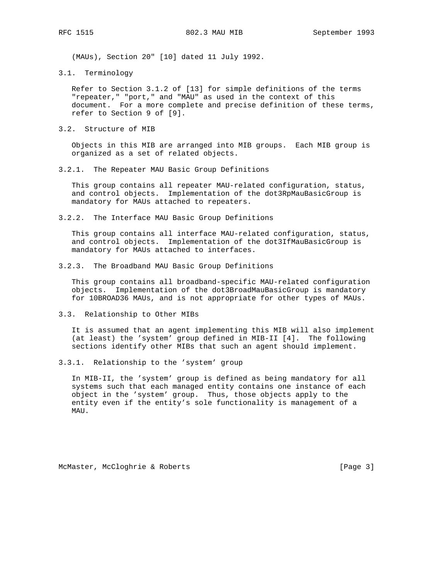(MAUs), Section 20" [10] dated 11 July 1992.

3.1. Terminology

 Refer to Section 3.1.2 of [13] for simple definitions of the terms "repeater," "port," and "MAU" as used in the context of this document. For a more complete and precise definition of these terms, refer to Section 9 of [9].

3.2. Structure of MIB

 Objects in this MIB are arranged into MIB groups. Each MIB group is organized as a set of related objects.

3.2.1. The Repeater MAU Basic Group Definitions

 This group contains all repeater MAU-related configuration, status, and control objects. Implementation of the dot3RpMauBasicGroup is mandatory for MAUs attached to repeaters.

3.2.2. The Interface MAU Basic Group Definitions

 This group contains all interface MAU-related configuration, status, and control objects. Implementation of the dot3IfMauBasicGroup is mandatory for MAUs attached to interfaces.

3.2.3. The Broadband MAU Basic Group Definitions

 This group contains all broadband-specific MAU-related configuration objects. Implementation of the dot3BroadMauBasicGroup is mandatory for 10BROAD36 MAUs, and is not appropriate for other types of MAUs.

3.3. Relationship to Other MIBs

 It is assumed that an agent implementing this MIB will also implement (at least) the 'system' group defined in MIB-II [4]. The following sections identify other MIBs that such an agent should implement.

3.3.1. Relationship to the 'system' group

 In MIB-II, the 'system' group is defined as being mandatory for all systems such that each managed entity contains one instance of each object in the 'system' group. Thus, those objects apply to the entity even if the entity's sole functionality is management of a MAU.

McMaster, McCloghrie & Roberts [Page 3]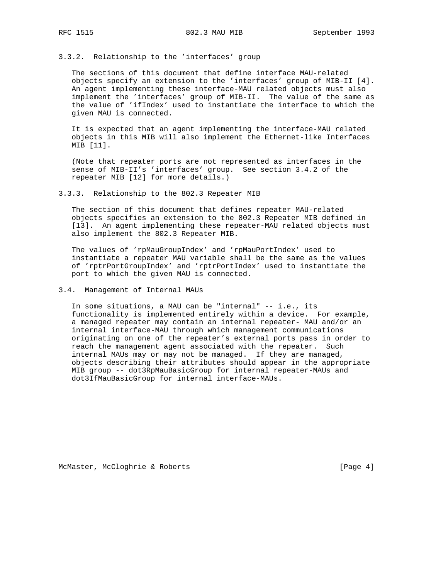#### 3.3.2. Relationship to the 'interfaces' group

 The sections of this document that define interface MAU-related objects specify an extension to the 'interfaces' group of MIB-II [4]. An agent implementing these interface-MAU related objects must also implement the 'interfaces' group of MIB-II. The value of the same as the value of 'ifIndex' used to instantiate the interface to which the given MAU is connected.

 It is expected that an agent implementing the interface-MAU related objects in this MIB will also implement the Ethernet-like Interfaces MIB [11].

 (Note that repeater ports are not represented as interfaces in the sense of MIB-II's 'interfaces' group. See section 3.4.2 of the repeater MIB [12] for more details.)

3.3.3. Relationship to the 802.3 Repeater MIB

 The section of this document that defines repeater MAU-related objects specifies an extension to the 802.3 Repeater MIB defined in [13]. An agent implementing these repeater-MAU related objects must also implement the 802.3 Repeater MIB.

 The values of 'rpMauGroupIndex' and 'rpMauPortIndex' used to instantiate a repeater MAU variable shall be the same as the values of 'rptrPortGroupIndex' and 'rptrPortIndex' used to instantiate the port to which the given MAU is connected.

3.4. Management of Internal MAUs

 In some situations, a MAU can be "internal" -- i.e., its functionality is implemented entirely within a device. For example, a managed repeater may contain an internal repeater- MAU and/or an internal interface-MAU through which management communications originating on one of the repeater's external ports pass in order to reach the management agent associated with the repeater. Such internal MAUs may or may not be managed. If they are managed, objects describing their attributes should appear in the appropriate MIB group -- dot3RpMauBasicGroup for internal repeater-MAUs and dot3IfMauBasicGroup for internal interface-MAUs.

McMaster, McCloghrie & Roberts [Page 4]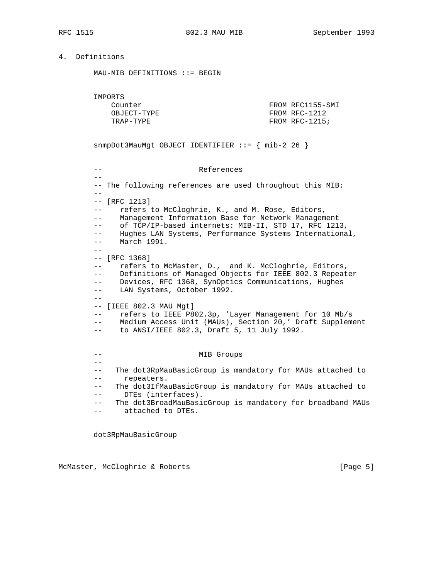## 4. Definitions

MAU-MIB DEFINITIONS ::= BEGIN

IMPORTS

 $-$ 

| Counter     | FROM RFC1155-SMI |
|-------------|------------------|
| OBJECT-TYPE | FROM RFC-1212    |
| TRAP-TYPF.  | FROM RFC-1215;   |

snmpDot3MauMgt OBJECT IDENTIFIER ::= { mib-2 26 }

### -- References

 -- The following references are used throughout this MIB:  $- -$  -- [RFC 1213] -- refers to McCloghrie, K., and M. Rose, Editors, -- Management Information Base for Network Management -- of TCP/IP-based internets: MIB-II, STD 17, RFC 1213, -- Hughes LAN Systems, Performance Systems International, -- March 1991.  $-$  -- [RFC 1368] -- refers to McMaster, D., and K. McCloghrie, Editors, -- Definitions of Managed Objects for IEEE 802.3 Repeater -- Devices, RFC 1368, SynOptics Communications, Hughes -- LAN Systems, October 1992.  $- -$  -- [IEEE 802.3 MAU Mgt] -- refers to IEEE P802.3p, 'Layer Management for 10 Mb/s -- Medium Access Unit (MAUs), Section 20,' Draft Supplement -- to ANSI/IEEE 802.3, Draft 5, 11 July 1992. -- MIB Groups -- -- The dot3RpMauBasicGroup is mandatory for MAUs attached to -- repeaters. -- The dot3IfMauBasicGroup is mandatory for MAUs attached to -- DTEs (interfaces). -- The dot3BroadMauBasicGroup is mandatory for broadband MAUs -- attached to DTEs.

dot3RpMauBasicGroup

McMaster, McCloghrie & Roberts [Page 5]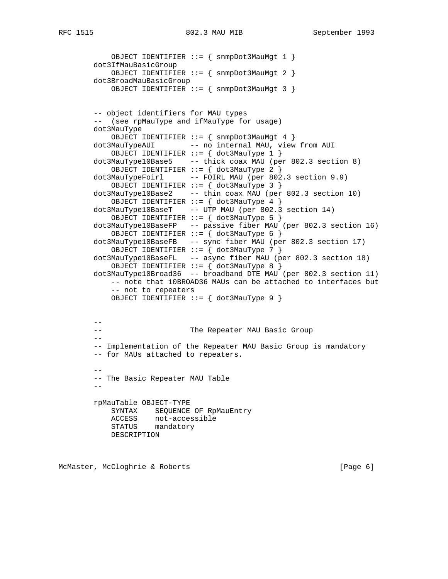```
 OBJECT IDENTIFIER ::= { snmpDot3MauMgt 1 }
        dot3IfMauBasicGroup
            OBJECT IDENTIFIER ::= { snmpDot3MauMgt 2 }
        dot3BroadMauBasicGroup
            OBJECT IDENTIFIER ::= { snmpDot3MauMgt 3 }
        -- object identifiers for MAU types
        -- (see rpMauType and ifMauType for usage)
        dot3MauType
            OBJECT IDENTIFIER ::= { snmpDot3MauMgt 4 }
        dot3MauTypeAUI -- no internal MAU, view from AUI
            OBJECT IDENTIFIER ::= { dot3MauType 1 }
        dot3MauType10Base5 -- thick coax MAU (per 802.3 section 8)
            OBJECT IDENTIFIER ::= { dot3MauType 2 }
        dot3MauTypeFoirl -- FOIRL MAU (per 802.3 section 9.9)
            OBJECT IDENTIFIER ::= { dot3MauType 3 }
        dot3MauType10Base2 -- thin coax MAU (per 802.3 section 10)
            OBJECT IDENTIFIER ::= { dot3MauType 4 }
        dot3MauType10BaseT -- UTP MAU (per 802.3 section 14)
            OBJECT IDENTIFIER ::= { dot3MauType 5 }
        dot3MauType10BaseFP -- passive fiber MAU (per 802.3 section 16)
            OBJECT IDENTIFIER ::= { dot3MauType 6 }
        dot3MauType10BaseFB -- sync fiber MAU (per 802.3 section 17)
            OBJECT IDENTIFIER ::= { dot3MauType 7 }
        dot3MauType10BaseFL -- async fiber MAU (per 802.3 section 18)
            OBJECT IDENTIFIER ::= { dot3MauType 8 }
        dot3MauType10Broad36 -- broadband DTE MAU (per 802.3 section 11)
            -- note that 10BROAD36 MAUs can be attached to interfaces but
            -- not to repeaters
            OBJECT IDENTIFIER ::= { dot3MauType 9 }
        --
        -- The Repeater MAU Basic Group
       - -- Implementation of the Repeater MAU Basic Group is mandatory
        -- for MAUs attached to repeaters.
 --
        -- The Basic Repeater MAU Table
 --
        rpMauTable OBJECT-TYPE
            SYNTAX SEQUENCE OF RpMauEntry
            ACCESS not-accessible
            STATUS mandatory
            DESCRIPTION
```
McMaster, McCloghrie & Roberts [Page 6]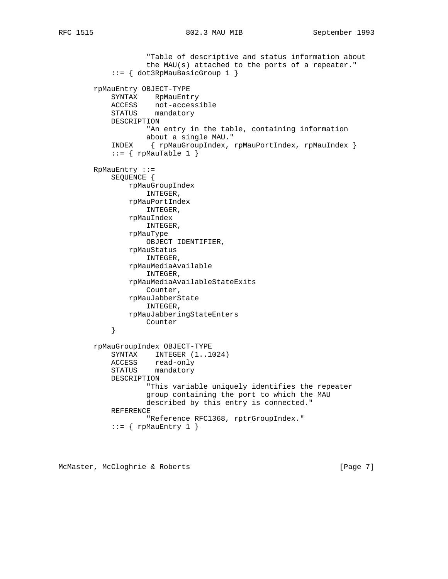```
 "Table of descriptive and status information about
                     the MAU(s) attached to the ports of a repeater."
             ::= { dot3RpMauBasicGroup 1 }
        rpMauEntry OBJECT-TYPE
             SYNTAX RpMauEntry
            ACCESS not-accessible
            STATUS mandatory
            DESCRIPTION
                     "An entry in the table, containing information
                     about a single MAU."
             INDEX { rpMauGroupIndex, rpMauPortIndex, rpMauIndex }
            ::= \{ rpMauTable 1 \} RpMauEntry ::=
            SEQUENCE {
                 rpMauGroupIndex
                    INTEGER,
                 rpMauPortIndex
                    INTEGER,
                 rpMauIndex
                     INTEGER,
                 rpMauType
                     OBJECT IDENTIFIER,
                 rpMauStatus
                     INTEGER,
                 rpMauMediaAvailable
                     INTEGER,
                 rpMauMediaAvailableStateExits
                     Counter,
                 rpMauJabberState
                    INTEGER,
                 rpMauJabberingStateEnters
             Counter
 }
        rpMauGroupIndex OBJECT-TYPE
             SYNTAX INTEGER (1..1024)
            ACCESS read-only<br>STATIC
             STATUS mandatory
             DESCRIPTION
                     "This variable uniquely identifies the repeater
                     group containing the port to which the MAU
                     described by this entry is connected."
             REFERENCE
                     "Reference RFC1368, rptrGroupIndex."
            ::= { rpMauEntry 1 }
```
McMaster, McCloghrie & Roberts [Page 7]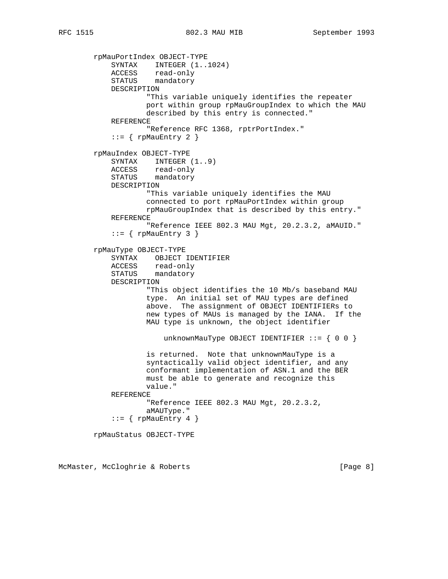```
 rpMauPortIndex OBJECT-TYPE
            SYNTAX INTEGER (1..1024)
 ACCESS read-only
STATUS mandatory
            DESCRIPTION
                    "This variable uniquely identifies the repeater
                    port within group rpMauGroupIndex to which the MAU
                    described by this entry is connected."
            REFERENCE
                    "Reference RFC 1368, rptrPortIndex."
           ::= { rpMauEntry 2 }
        rpMauIndex OBJECT-TYPE
           SYNTAX INTEGER (1..9) ACCESS read-only
STATUS mandatory
            DESCRIPTION
                    "This variable uniquely identifies the MAU
                    connected to port rpMauPortIndex within group
                    rpMauGroupIndex that is described by this entry."
            REFERENCE
                    "Reference IEEE 802.3 MAU Mgt, 20.2.3.2, aMAUID."
           ::= { rpMauEntry 3 }
        rpMauType OBJECT-TYPE
            SYNTAX OBJECT IDENTIFIER
            ACCESS read-only
            STATUS mandatory
            DESCRIPTION
                    "This object identifies the 10 Mb/s baseband MAU
                    type. An initial set of MAU types are defined
                    above. The assignment of OBJECT IDENTIFIERs to
                    new types of MAUs is managed by the IANA. If the
                    MAU type is unknown, the object identifier
                       unknownMauType OBJECT IDENTIFIER ::= \{ 0 0 \} is returned. Note that unknownMauType is a
                    syntactically valid object identifier, and any
                    conformant implementation of ASN.1 and the BER
                    must be able to generate and recognize this
                    value."
            REFERENCE
                    "Reference IEEE 802.3 MAU Mgt, 20.2.3.2,
                    aMAUType."
           ::= { rpMauEntry 4 }
        rpMauStatus OBJECT-TYPE
```
McMaster, McCloghrie & Roberts [Page 8]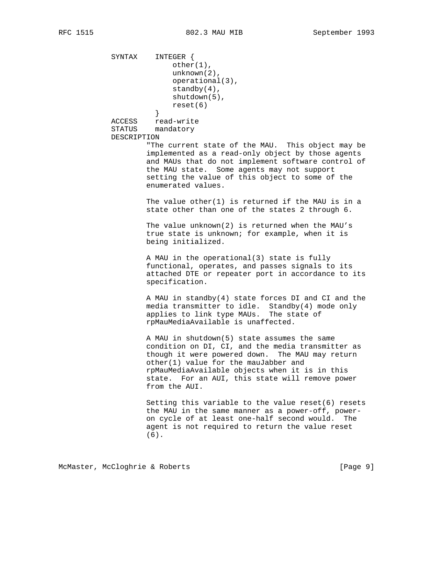SYNTAX INTEGER { other(1), unknown(2), operational(3), standby(4), shutdown(5), reset(6) } ACCESS read-write STATUS mandatory DESCRIPTION "The current state of the MAU. This object may be implemented as a read-only object by those agents and MAUs that do not implement software control of the MAU state. Some agents may not support setting the value of this object to some of the enumerated values. The value other(1) is returned if the MAU is in a state other than one of the states 2 through 6. The value unknown(2) is returned when the MAU's true state is unknown; for example, when it is being initialized. A MAU in the operational(3) state is fully functional, operates, and passes signals to its attached DTE or repeater port in accordance to its specification. A MAU in standby(4) state forces DI and CI and the media transmitter to idle. Standby(4) mode only applies to link type MAUs. The state of rpMauMediaAvailable is unaffected. A MAU in shutdown(5) state assumes the same condition on DI, CI, and the media transmitter as though it were powered down. The MAU may return other(1) value for the mauJabber and rpMauMediaAvailable objects when it is in this state. For an AUI, this state will remove power from the AUI. Setting this variable to the value reset(6) resets the MAU in the same manner as a power-off, power on cycle of at least one-half second would. The agent is not required to return the value reset (6).

McMaster, McCloghrie & Roberts [Page 9]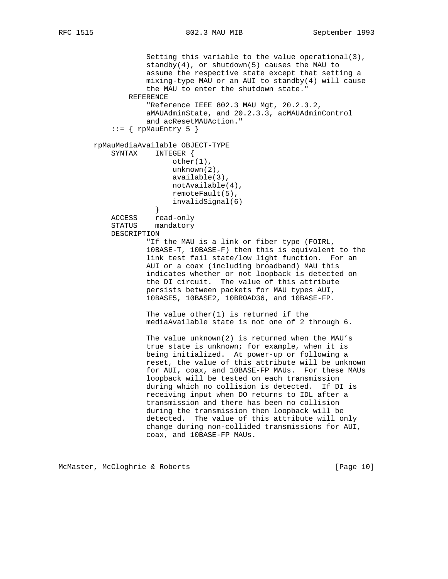```
 Setting this variable to the value operational(3),
                    standby(4), or shutdown(5) causes the MAU to
                    assume the respective state except that setting a
                    mixing-type MAU or an AUI to standby(4) will cause
                     the MAU to enter the shutdown state."
                REFERENCE
                     "Reference IEEE 802.3 MAU Mgt, 20.2.3.2,
                     aMAUAdminState, and 20.2.3.3, acMAUAdminControl
                    and acResetMAUAction."
            ::= { rpMauEntry 5 }
        rpMauMediaAvailable OBJECT-TYPE
            SYNTAX INTEGER {
                          other(1),
                          unknown(2),
                          available(3),
                          notAvailable(4),
                          remoteFault(5),
                          invalidSignal(6)
 }
            ACCESS read-only
            STATUS mandatory
            DESCRIPTION
                     "If the MAU is a link or fiber type (FOIRL,
                     10BASE-T, 10BASE-F) then this is equivalent to the
                     link test fail state/low light function. For an
                    AUI or a coax (including broadband) MAU this
                     indicates whether or not loopback is detected on
                    the DI circuit. The value of this attribute
                    persists between packets for MAU types AUI,
                    10BASE5, 10BASE2, 10BROAD36, and 10BASE-FP.
                   The value other(1) is returned if the
                    mediaAvailable state is not one of 2 through 6.
                    The value unknown(2) is returned when the MAU's
                    true state is unknown; for example, when it is
                    being initialized. At power-up or following a
                    reset, the value of this attribute will be unknown
                    for AUI, coax, and 10BASE-FP MAUs. For these MAUs
                     loopback will be tested on each transmission
                    during which no collision is detected. If DI is
                    receiving input when DO returns to IDL after a
                    transmission and there has been no collision
                    during the transmission then loopback will be
                    detected. The value of this attribute will only
                    change during non-collided transmissions for AUI,
                    coax, and 10BASE-FP MAUs.
```
McMaster, McCloghrie & Roberts [Page 10]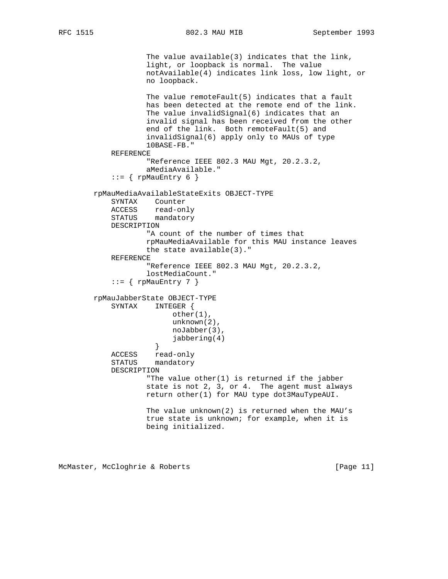```
 The value available(3) indicates that the link,
                    light, or loopback is normal. The value
                    notAvailable(4) indicates link loss, low light, or
                    no loopback.
                    The value remoteFault(5) indicates that a fault
                    has been detected at the remote end of the link.
                    The value invalidSignal(6) indicates that an
                    invalid signal has been received from the other
                    end of the link. Both remoteFault(5) and
                    invalidSignal(6) apply only to MAUs of type
                    10BASE-FB."
            REFERENCE
                    "Reference IEEE 802.3 MAU Mgt, 20.2.3.2,
                    aMediaAvailable."
           ::= { rpMauEntry 6 }
        rpMauMediaAvailableStateExits OBJECT-TYPE
            SYNTAX Counter
 ACCESS read-only
 STATUS mandatory
            DESCRIPTION
                    "A count of the number of times that
                    rpMauMediaAvailable for this MAU instance leaves
                    the state available(3)."
            REFERENCE
                    "Reference IEEE 802.3 MAU Mgt, 20.2.3.2,
                    lostMediaCount."
           ::= { rpMauEntry 7 }
        rpMauJabberState OBJECT-TYPE
            SYNTAX INTEGER {
                          other(1),
                          unknown(2),
                          noJabber(3),
                     jabbering(4)<br>}
 }
            ACCESS read-only
            STATUS mandatory
            DESCRIPTION
                    "The value other(1) is returned if the jabber
                    state is not 2, 3, or 4. The agent must always
                    return other(1) for MAU type dot3MauTypeAUI.
                    The value unknown(2) is returned when the MAU's
                    true state is unknown; for example, when it is
                    being initialized.
```
McMaster, McCloghrie & Roberts [Page 11]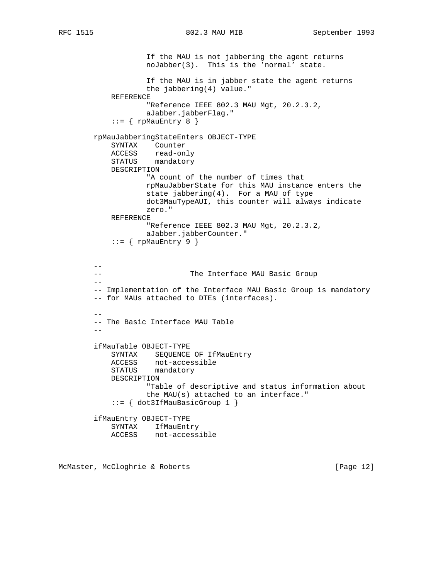If the MAU is not jabbering the agent returns noJabber(3). This is the 'normal' state. If the MAU is in jabber state the agent returns the jabbering(4) value." REFERENCE "Reference IEEE 802.3 MAU Mgt, 20.2.3.2, aJabber.jabberFlag."  $::=$  { rpMauEntry 8 } rpMauJabberingStateEnters OBJECT-TYPE SYNTAX Counter ACCESS read-only STATUS mandatory DESCRIPTION "A count of the number of times that rpMauJabberState for this MAU instance enters the state jabbering(4). For a MAU of type dot3MauTypeAUI, this counter will always indicate zero." REFERENCE "Reference IEEE 802.3 MAU Mgt, 20.2.3.2, aJabber.jabberCounter."  $::=$  { rpMauEntry 9 } -- -- The Interface MAU Basic Group  $-\,-$  -- Implementation of the Interface MAU Basic Group is mandatory -- for MAUs attached to DTEs (interfaces). -- -- The Basic Interface MAU Table - ifMauTable OBJECT-TYPE SYNTAX SEQUENCE OF IfMauEntry ACCESS not-accessible STATUS mandatory DESCRIPTION "Table of descriptive and status information about the MAU(s) attached to an interface." ::= { dot3IfMauBasicGroup 1 } ifMauEntry OBJECT-TYPE SYNTAX IfMauEntry ACCESS not-accessible

McMaster, McCloghrie & Roberts [Page 12]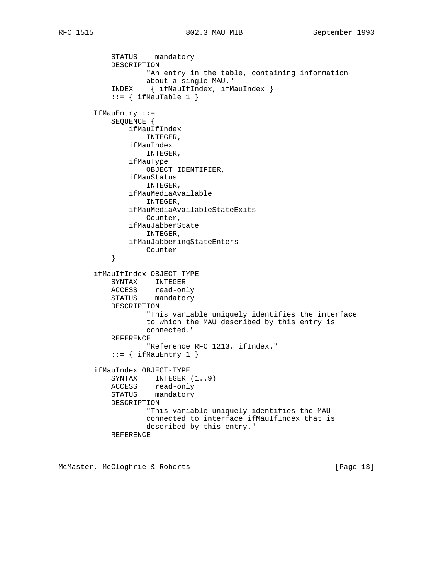```
 STATUS mandatory
            DESCRIPTION
                   "An entry in the table, containing information
                   about a single MAU."
            INDEX { ifMauIfIndex, ifMauIndex }
           ::= { ifMauTable 1 }
        IfMauEntry ::=
            SEQUENCE {
                ifMauIfIndex
                   INTEGER,
                ifMauIndex
                   INTEGER,
                ifMauType
                   OBJECT IDENTIFIER,
                ifMauStatus
                   INTEGER,
                ifMauMediaAvailable
                   INTEGER,
                ifMauMediaAvailableStateExits
                   Counter,
                ifMauJabberState
                   INTEGER,
                ifMauJabberingStateEnters
            Counter
 }
        ifMauIfIndex OBJECT-TYPE
            SYNTAX INTEGER
 ACCESS read-only
STATUS mandatory
            DESCRIPTION
                   "This variable uniquely identifies the interface
                   to which the MAU described by this entry is
                   connected."
            REFERENCE
                    "Reference RFC 1213, ifIndex."
           ::= { ifMauEntry 1 }
        ifMauIndex OBJECT-TYPE
            SYNTAX INTEGER (1..9)
 ACCESS read-only
STATUS mandatory
            DESCRIPTION
                    "This variable uniquely identifies the MAU
                   connected to interface ifMauIfIndex that is
                   described by this entry."
            REFERENCE
```
McMaster, McCloghrie & Roberts [Page 13]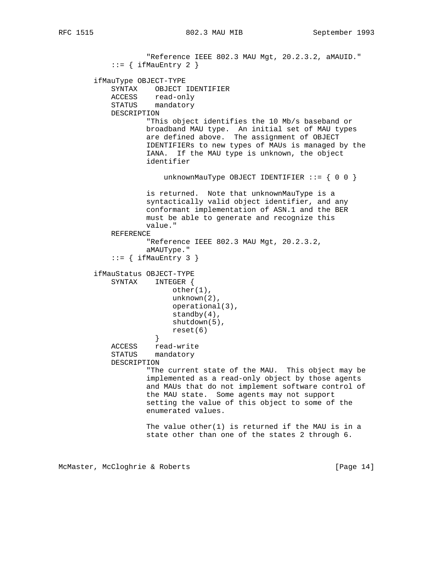"Reference IEEE 802.3 MAU Mgt, 20.2.3.2, aMAUID."  $::=$  { ifMauEntry 2 } ifMauType OBJECT-TYPE SYNTAX OBJECT IDENTIFIER<br>ACCESS read-only read-only STATUS mandatory DESCRIPTION "This object identifies the 10 Mb/s baseband or broadband MAU type. An initial set of MAU types are defined above. The assignment of OBJECT IDENTIFIERs to new types of MAUs is managed by the IANA. If the MAU type is unknown, the object identifier unknownMauType OBJECT IDENTIFIER  $::= \{ 0 0 \}$  is returned. Note that unknownMauType is a syntactically valid object identifier, and any conformant implementation of ASN.1 and the BER must be able to generate and recognize this value." REFERENCE "Reference IEEE 802.3 MAU Mgt, 20.2.3.2, aMAUType."  $::=$  { ifMauEntry 3 } ifMauStatus OBJECT-TYPE SYNTAX INTEGER { other(1), unknown(2), operational(3), standby(4), shutdown(5), reset(6)<br>} } ACCESS read-write STATUS mandatory DESCRIPTION "The current state of the MAU. This object may be implemented as a read-only object by those agents and MAUs that do not implement software control of the MAU state. Some agents may not support setting the value of this object to some of the enumerated values. The value other(1) is returned if the MAU is in a state other than one of the states 2 through 6.

McMaster, McCloghrie & Roberts [Page 14]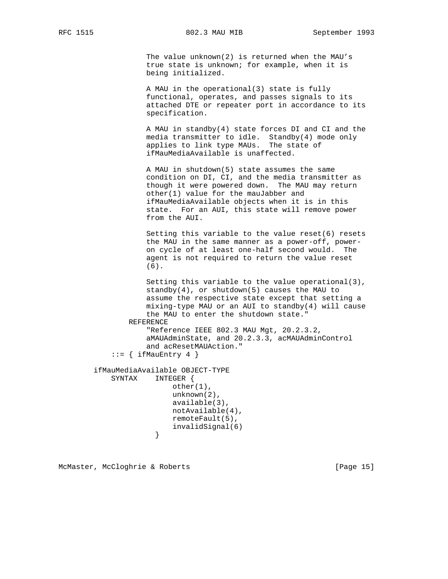The value unknown(2) is returned when the MAU's true state is unknown; for example, when it is being initialized.

 A MAU in the operational(3) state is fully functional, operates, and passes signals to its attached DTE or repeater port in accordance to its specification.

 A MAU in standby(4) state forces DI and CI and the media transmitter to idle. Standby(4) mode only applies to link type MAUs. The state of ifMauMediaAvailable is unaffected.

 A MAU in shutdown(5) state assumes the same condition on DI, CI, and the media transmitter as though it were powered down. The MAU may return other(1) value for the mauJabber and ifMauMediaAvailable objects when it is in this state. For an AUI, this state will remove power from the AUI.

 Setting this variable to the value reset(6) resets the MAU in the same manner as a power-off, power on cycle of at least one-half second would. The agent is not required to return the value reset (6).

 Setting this variable to the value operational(3), standby(4), or shutdown(5) causes the MAU to assume the respective state except that setting a mixing-type MAU or an AUI to standby(4) will cause the MAU to enter the shutdown state." REFERENCE "Reference IEEE 802.3 MAU Mgt, 20.2.3.2, aMAUAdminState, and 20.2.3.3, acMAUAdminControl and acResetMAUAction."  $::=$  { ifMauEntry 4 } ifMauMediaAvailable OBJECT-TYPE SYNTAX INTEGER { other(1),

 unknown(2), available(3), notAvailable(4), remoteFault(5), invalidSignal(6)<br>} }

McMaster, McCloghrie & Roberts [Page 15]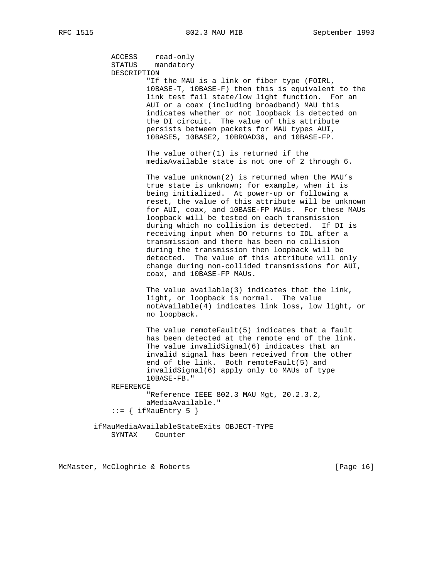ACCESS read-only STATUS mandatory DESCRIPTION "If the MAU is a link or fiber type (FOIRL, 10BASE-T, 10BASE-F) then this is equivalent to the link test fail state/low light function. For an AUI or a coax (including broadband) MAU this indicates whether or not loopback is detected on the DI circuit. The value of this attribute persists between packets for MAU types AUI, 10BASE5, 10BASE2, 10BROAD36, and 10BASE-FP. The value other $(1)$  is returned if the mediaAvailable state is not one of 2 through 6. The value unknown(2) is returned when the MAU's true state is unknown; for example, when it is being initialized. At power-up or following a reset, the value of this attribute will be unknown for AUI, coax, and 10BASE-FP MAUs. For these MAUs loopback will be tested on each transmission during which no collision is detected. If DI is receiving input when DO returns to IDL after a transmission and there has been no collision during the transmission then loopback will be detected. The value of this attribute will only change during non-collided transmissions for AUI, coax, and 10BASE-FP MAUs. The value available(3) indicates that the link, light, or loopback is normal. The value notAvailable(4) indicates link loss, low light, or no loopback. The value remoteFault(5) indicates that a fault has been detected at the remote end of the link. The value invalidSignal(6) indicates that an invalid signal has been received from the other end of the link. Both remoteFault(5) and invalidSignal(6) apply only to MAUs of type 10BASE-FB." REFERENCE "Reference IEEE 802.3 MAU Mgt, 20.2.3.2, aMediaAvailable."  $::=$  { ifMauEntry 5 } ifMauMediaAvailableStateExits OBJECT-TYPE SYNTAX Counter

McMaster, McCloghrie & Roberts [Page 16]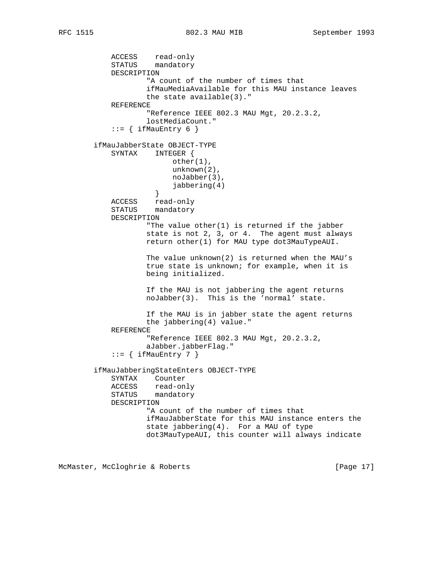ACCESS read-only STATUS mandatory DESCRIPTION "A count of the number of times that ifMauMediaAvailable for this MAU instance leaves the state available(3)." REFERENCE "Reference IEEE 802.3 MAU Mgt, 20.2.3.2, lostMediaCount."  $::=$  { ifMauEntry 6 } ifMauJabberState OBJECT-TYPE SYNTAX INTEGER { other(1), unknown(2), noJabber(3), jabbering(4)<br>} } ACCESS read-only STATUS mandatory DESCRIPTION "The value other(1) is returned if the jabber state is not 2, 3, or 4. The agent must always return other(1) for MAU type dot3MauTypeAUI. The value unknown(2) is returned when the MAU's true state is unknown; for example, when it is being initialized. If the MAU is not jabbering the agent returns noJabber(3). This is the 'normal' state. If the MAU is in jabber state the agent returns the jabbering(4) value." REFERENCE "Reference IEEE 802.3 MAU Mgt, 20.2.3.2, aJabber.jabberFlag."  $::=$  { ifMauEntry 7 } ifMauJabberingStateEnters OBJECT-TYPE SYNTAX Counter ACCESS read-only STATUS mandatory DESCRIPTION "A count of the number of times that ifMauJabberState for this MAU instance enters the state jabbering(4). For a MAU of type dot3MauTypeAUI, this counter will always indicate

McMaster, McCloghrie & Roberts [Page 17]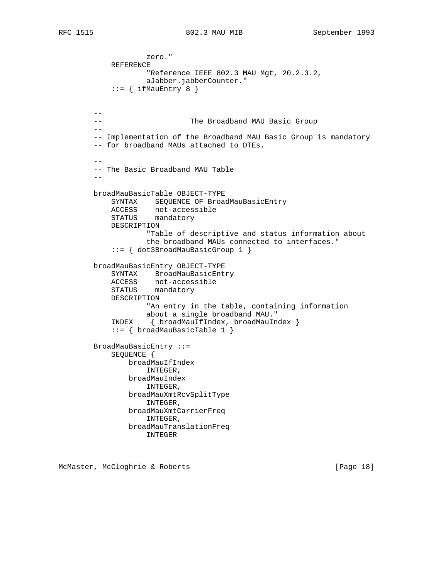```
 zero."
            REFERENCE
                   "Reference IEEE 802.3 MAU Mgt, 20.2.3.2,
                   aJabber.jabberCounter."
           ::= { ifMauEntry 8 }
       --- The Broadband MAU Basic Group
        --
        -- Implementation of the Broadband MAU Basic Group is mandatory
        -- for broadband MAUs attached to DTEs.
 --
        -- The Basic Broadband MAU Table
 --
        broadMauBasicTable OBJECT-TYPE
           SYNTAX SEQUENCE OF BroadMauBasicEntry
 ACCESS not-accessible
 STATUS mandatory
            DESCRIPTION
                   "Table of descriptive and status information about
                   the broadband MAUs connected to interfaces."
            ::= { dot3BroadMauBasicGroup 1 }
        broadMauBasicEntry OBJECT-TYPE
            SYNTAX BroadMauBasicEntry
 ACCESS not-accessible
 STATUS mandatory
            DESCRIPTION
                   "An entry in the table, containing information
                   about a single broadband MAU."
            INDEX { broadMauIfIndex, broadMauIndex }
            ::= { broadMauBasicTable 1 }
        BroadMauBasicEntry ::=
            SEQUENCE {
               broadMauIfIndex
                   INTEGER,
               broadMauIndex
                   INTEGER,
               broadMauXmtRcvSplitType
                   INTEGER,
               broadMauXmtCarrierFreq
                   INTEGER,
               broadMauTranslationFreq
                   INTEGER
```
McMaster, McCloghrie & Roberts [Page 18]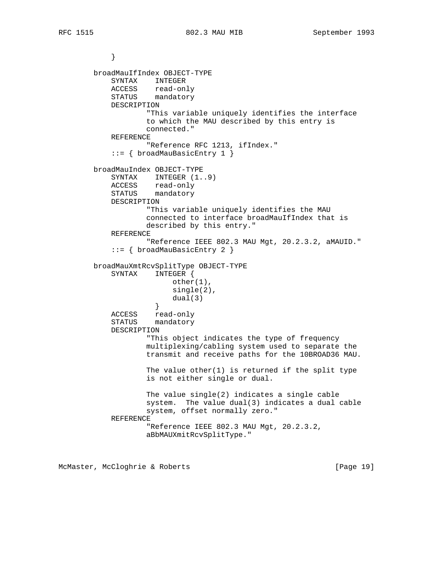```
 }
        broadMauIfIndex OBJECT-TYPE
            SYNTAX INTEGER
 ACCESS read-only
 STATUS mandatory
            DESCRIPTION
                   "This variable uniquely identifies the interface
                   to which the MAU described by this entry is
                   connected."
            REFERENCE
                    "Reference RFC 1213, ifIndex."
            ::= { broadMauBasicEntry 1 }
        broadMauIndex OBJECT-TYPE
            SYNTAX INTEGER (1..9)
 ACCESS read-only
 STATUS mandatory
            DESCRIPTION
                   "This variable uniquely identifies the MAU
                   connected to interface broadMauIfIndex that is
                   described by this entry."
            REFERENCE
                    "Reference IEEE 802.3 MAU Mgt, 20.2.3.2, aMAUID."
            ::= { broadMauBasicEntry 2 }
        broadMauXmtRcvSplitType OBJECT-TYPE
            SYNTAX INTEGER {
                         other(1),
                         single(2),
                         dual(3)
 }
            ACCESS read-only
            STATUS mandatory
            DESCRIPTION
                   "This object indicates the type of frequency
                   multiplexing/cabling system used to separate the
                    transmit and receive paths for the 10BROAD36 MAU.
                    The value other(1) is returned if the split type
                    is not either single or dual.
                   The value single(2) indicates a single cable
                   system. The value dual(3) indicates a dual cable
                   system, offset normally zero."
            REFERENCE
                    "Reference IEEE 802.3 MAU Mgt, 20.2.3.2,
                   aBbMAUXmitRcvSplitType."
```
McMaster, McCloghrie & Roberts [Page 19]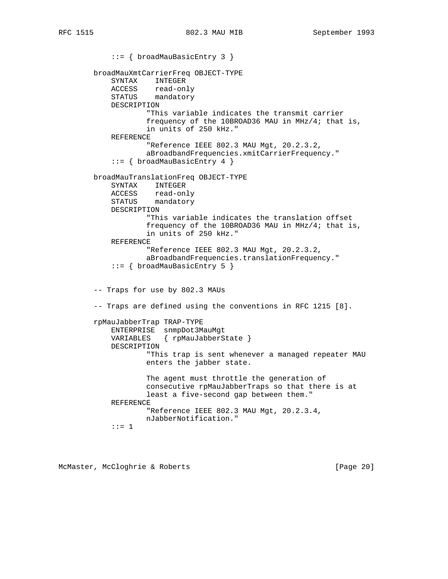::= { broadMauBasicEntry 3 } broadMauXmtCarrierFreq OBJECT-TYPE SYNTAX INTEGER ACCESS read-only STATUS mandatory DESCRIPTION "This variable indicates the transmit carrier frequency of the 10BROAD36 MAU in MHz/4; that is, in units of 250 kHz." REFERENCE "Reference IEEE 802.3 MAU Mgt, 20.2.3.2, aBroadbandFrequencies.xmitCarrierFrequency." ::= { broadMauBasicEntry 4 } broadMauTranslationFreq OBJECT-TYPE SYNTAX INTEGER ACCESS read-only STATUS mandatory DESCRIPTION "This variable indicates the translation offset frequency of the 10BROAD36 MAU in MHz/4; that is, in units of 250 kHz." REFERENCE "Reference IEEE 802.3 MAU Mgt, 20.2.3.2, aBroadbandFrequencies.translationFrequency." ::= { broadMauBasicEntry 5 } -- Traps for use by 802.3 MAUs -- Traps are defined using the conventions in RFC 1215 [8]. rpMauJabberTrap TRAP-TYPE ENTERPRISE snmpDot3MauMgt VARIABLES { rpMauJabberState } DESCRIPTION "This trap is sent whenever a managed repeater MAU enters the jabber state. The agent must throttle the generation of consecutive rpMauJabberTraps so that there is at least a five-second gap between them." REFERENCE "Reference IEEE 802.3 MAU Mgt, 20.2.3.4, nJabberNotification." ::= 1

McMaster, McCloghrie & Roberts [Page 20]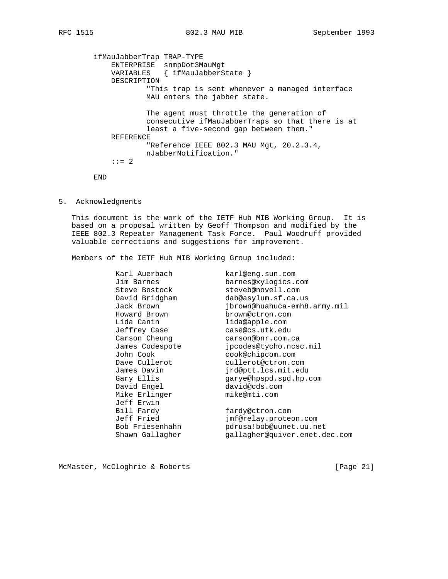ifMauJabberTrap TRAP-TYPE ENTERPRISE snmpDot3MauMgt VARIABLES { ifMauJabberState } DESCRIPTION "This trap is sent whenever a managed interface MAU enters the jabber state. The agent must throttle the generation of consecutive ifMauJabberTraps so that there is at least a five-second gap between them." REFERENCE "Reference IEEE 802.3 MAU Mgt, 20.2.3.4, nJabberNotification."  $: := 2$ 

END

5. Acknowledgments

 This document is the work of the IETF Hub MIB Working Group. It is based on a proposal written by Geoff Thompson and modified by the IEEE 802.3 Repeater Management Task Force. Paul Woodruff provided valuable corrections and suggestions for improvement.

Members of the IETF Hub MIB Working Group included:

| Karl Auerbach   | karl@eng.sun.com              |
|-----------------|-------------------------------|
| Jim Barnes      | barnes@xylogics.com           |
| Steve Bostock   | steveb@novell.com             |
| David Bridgham  | dab@asylum.sf.ca.us           |
| Jack Brown      | jbrown@huahuca-emh8.army.mil  |
| Howard Brown    | brown@ctron.com               |
| Lida Canin      | lida@apple.com                |
| Jeffrey Case    | case@cs.utk.edu               |
| Carson Cheung   | carson@bnr.com.ca             |
| James Codespote | jpcodes@tycho.ncsc.mil        |
| John Cook       | cook@chipcom.com              |
| Dave Cullerot   | cullerot@ctron.com            |
| James Davin     | jrd@ptt.lcs.mit.edu           |
| Gary Ellis      | qarye@hpspd.spd.hp.com        |
| David Engel     | david@cds.com                 |
| Mike Erlinger   | mike@mti.com                  |
| Jeff Erwin      |                               |
| Bill Fardy      | fardy@ctron.com               |
| Jeff Fried      | jmf@relay.proteon.com         |
| Bob Friesenhahn | pdrusa!bob@uunet.uu.net       |
| Shawn Gallagher | gallagher@quiver.enet.dec.com |

McMaster, McCloghrie & Roberts [Page 21]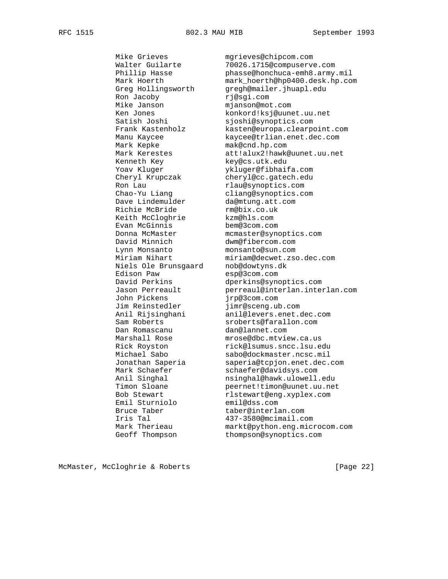Ron Jacoby https://www.rj@sgi.com Mike Janson mjanson@mot.com Mark Kepke mak@cnd.hp.com Renneth Key Key@cs.utk.edu Ron Lau rlau@synoptics.com Dave Lindemulder da@mtung.att.com Richie McBride rm@bix.co.uk Keith McCloghrie kzm@hls.com Evan McGinnis bem@3com.com David Minnich dwm@fibercom.com Lynn Monsanto monsanto@sun.com<br>
Miriam Nihart miriam@decwet.zso Niels Ole Brunsgaard nob@dowtyns.dk Edison Paw esp@3com.com John Pickens jrp@3com.com Jim Reinstedler jimr@sceng.ub.com<br>Anil Rijsinghani anil@levers.enet.o Dan Romascanu dan@lannet.com Emil Sturniolo Emil Sturniolo emil@dss.com<br>Bruce Taber taber@interlan.com

 Mike Grieves mgrieves@chipcom.com Walter Guilarte 70026.1715@compuserve.com<br>
Phillip Hasse phasse@honchuca-emh8.army phasse@honchuca-emh8.army.mil Mark Hoerth mark\_hoerth@hp0400.desk.hp.com Greg Hollingsworth gregh@mailer.jhuapl.edu Ken Jones konkord!ksj@uunet.uu.net Satish Joshi sjoshi@synoptics.com Frank Kastenholz kasten@europa.clearpoint.com Manu Kaycee kaycee@trlian.enet.dec.com Mark Kerestes att!alux2!hawk@uunet.uu.net Yoav Kluger <br>Cheryl Krupczak cheryl@cc.gatech.edu cheryl@cc.gatech.edu Chao-Yu Liang cliang@synoptics.com<br>Dave Lindemulder da@mtung.att.com Donna McMaster mcmaster@synoptics.com Miriam Nihart miriam@decwet.zso.dec.com David Perkins dperkins@synoptics.com Jason Perreault perreaul@interlan.interlan.com anil@levers.enet.dec.com Sam Roberts sroberts@farallon.com Marshall Rose mrose@dbc.mtview.ca.us Rick Royston rick@lsumus.sncc.lsu.edu Michael Sabo sabo@dockmaster.ncsc.mil Jonathan Saperia saperia@tcpjon.enet.dec.com Mark Schaefer schaefer@davidsys.com Anil Singhal nsinghal@hawk.ulowell.edu Timon Sloane peernet!timon@uunet.uu.net Bob Stewart rlstewart@eng.xyplex.com Iris Tal 437-3580@mcimail.com Mark Therieau markt@python.eng.microcom.com<br>Geoff Thompson thompson@synoptics.com thompson@synoptics.com

McMaster, McCloghrie & Roberts [Page 22]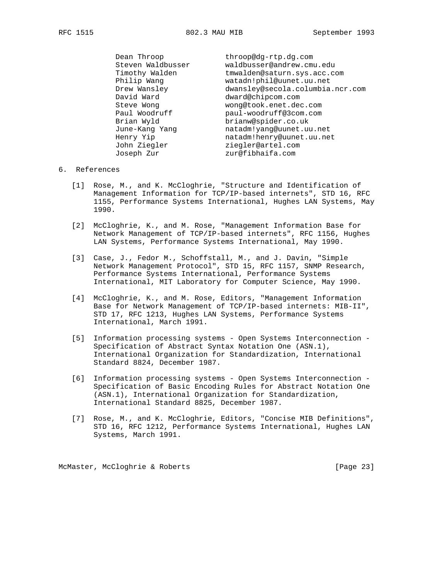Dean Throop bhroop@dg-rtp.dg.com Steven Waldbusser waldbusser@andrew.cmu.edu Timothy Walden tmwalden@saturn.sys.acc.com Philip Wang watadn!phil@uunet.uu.net Drew Wansley dwansley@secola.columbia.ncr.com David Ward dward@chipcom.com Steve Wong wong@took.enet.dec.com Paul Woodruff **paul-woodruff@3com.com**  Brian Wyld brianw@spider.co.uk June-Kang Yang natadm!yang@uunet.uu.net Henry Yip natadm!henry@uunet.uu.net John Ziegler and ziegler@artel.com Joseph Zur zur@fibhaifa.com

### 6. References

- [1] Rose, M., and K. McCloghrie, "Structure and Identification of Management Information for TCP/IP-based internets", STD 16, RFC 1155, Performance Systems International, Hughes LAN Systems, May 1990.
- [2] McCloghrie, K., and M. Rose, "Management Information Base for Network Management of TCP/IP-based internets", RFC 1156, Hughes LAN Systems, Performance Systems International, May 1990.
- [3] Case, J., Fedor M., Schoffstall, M., and J. Davin, "Simple Network Management Protocol", STD 15, RFC 1157, SNMP Research, Performance Systems International, Performance Systems International, MIT Laboratory for Computer Science, May 1990.
	- [4] McCloghrie, K., and M. Rose, Editors, "Management Information Base for Network Management of TCP/IP-based internets: MIB-II", STD 17, RFC 1213, Hughes LAN Systems, Performance Systems International, March 1991.
	- [5] Information processing systems Open Systems Interconnection Specification of Abstract Syntax Notation One (ASN.1), International Organization for Standardization, International Standard 8824, December 1987.
	- [6] Information processing systems Open Systems Interconnection Specification of Basic Encoding Rules for Abstract Notation One (ASN.1), International Organization for Standardization, International Standard 8825, December 1987.
	- [7] Rose, M., and K. McCloghrie, Editors, "Concise MIB Definitions", STD 16, RFC 1212, Performance Systems International, Hughes LAN Systems, March 1991.

McMaster, McCloghrie & Roberts [Page 23]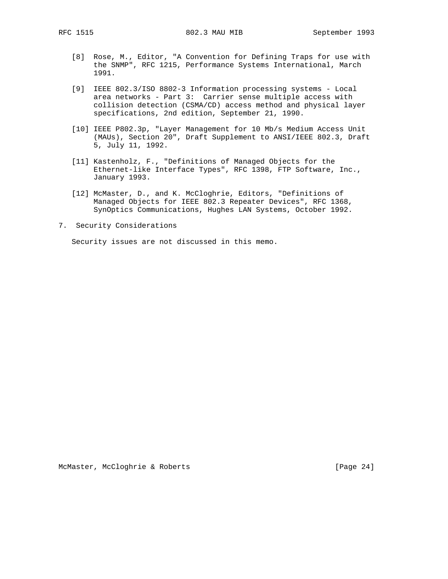- [8] Rose, M., Editor, "A Convention for Defining Traps for use with the SNMP", RFC 1215, Performance Systems International, March 1991.
- [9] IEEE 802.3/ISO 8802-3 Information processing systems Local area networks - Part 3: Carrier sense multiple access with collision detection (CSMA/CD) access method and physical layer specifications, 2nd edition, September 21, 1990.
- [10] IEEE P802.3p, "Layer Management for 10 Mb/s Medium Access Unit (MAUs), Section 20", Draft Supplement to ANSI/IEEE 802.3, Draft 5, July 11, 1992.
- [11] Kastenholz, F., "Definitions of Managed Objects for the Ethernet-like Interface Types", RFC 1398, FTP Software, Inc., January 1993.
- [12] McMaster, D., and K. McCloghrie, Editors, "Definitions of Managed Objects for IEEE 802.3 Repeater Devices", RFC 1368, SynOptics Communications, Hughes LAN Systems, October 1992.
- 7. Security Considerations

Security issues are not discussed in this memo.

McMaster, McCloghrie & Roberts [Page 24]